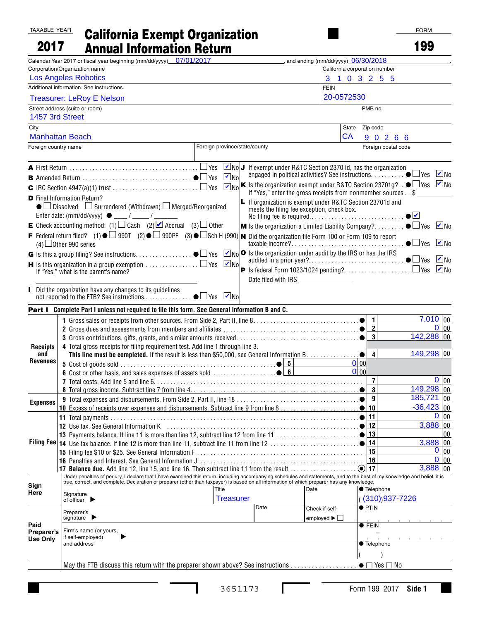## TAXABLE YEAR 2017 California Exempt Organization Annual Information Return

| 2017                   | <b>Annual Information Return</b>                                                                                                                                                                                               |                               |                                                                                                                |                                            |                                 | 199                                                                                                                                                     |
|------------------------|--------------------------------------------------------------------------------------------------------------------------------------------------------------------------------------------------------------------------------|-------------------------------|----------------------------------------------------------------------------------------------------------------|--------------------------------------------|---------------------------------|---------------------------------------------------------------------------------------------------------------------------------------------------------|
|                        | Calendar Year 2017 or fiscal year beginning (mm/dd/yyyy) 07/01/2017                                                                                                                                                            |                               |                                                                                                                | $\_,$ and ending (mm/dd/yyyy) $06/30/2018$ |                                 |                                                                                                                                                         |
|                        | Corporation/Organization name                                                                                                                                                                                                  |                               |                                                                                                                |                                            | California corporation number   |                                                                                                                                                         |
|                        | <b>Los Angeles Robotics</b>                                                                                                                                                                                                    |                               |                                                                                                                |                                            | 3 1 0 3 2 5 5                   |                                                                                                                                                         |
|                        | Additional information. See instructions.                                                                                                                                                                                      |                               |                                                                                                                | <b>FEIN</b>                                |                                 |                                                                                                                                                         |
|                        | <b>Treasurer: LeRoy E Nelson</b>                                                                                                                                                                                               |                               |                                                                                                                | 20-0572530                                 |                                 |                                                                                                                                                         |
| 1457 3rd Street        | Street address (suite or room)                                                                                                                                                                                                 |                               |                                                                                                                |                                            | PMB no.                         |                                                                                                                                                         |
|                        |                                                                                                                                                                                                                                |                               |                                                                                                                |                                            |                                 |                                                                                                                                                         |
| City                   | <b>Manhattan Beach</b>                                                                                                                                                                                                         |                               |                                                                                                                | State<br>CA                                | Zip code                        |                                                                                                                                                         |
| Foreign country name   |                                                                                                                                                                                                                                | Foreign province/state/county |                                                                                                                |                                            | 90266<br>Foreign postal code    |                                                                                                                                                         |
|                        |                                                                                                                                                                                                                                |                               |                                                                                                                |                                            |                                 |                                                                                                                                                         |
|                        | A First Return $\ldots\ldots\ldots\ldots\ldots\ldots\ldots\ldots\ldots\ldots\Box$ Yes $\ \blacksquare$ No $\blacksquare$ If exempt under R&TC Section 23701d, has the organization                                             |                               |                                                                                                                |                                            |                                 |                                                                                                                                                         |
|                        | $\blacksquare$ Amended Return $\ldots\ldots\ldots\ldots\ldots\ldots\ldots\ldots\ldots\ldots\blacksquare$ Yes                                                                                                                   | $\blacksquare$ No             |                                                                                                                |                                            |                                 | engaged in political activities? See instructions. ● □ Yes ■ No                                                                                         |
|                        |                                                                                                                                                                                                                                |                               |                                                                                                                |                                            |                                 | $\boxed{\triangleright}$ No $\boxed{\mathbf{K}}$ is the organization exempt under R&TC Section 23701g? $\bullet$ $\Box$ Yes $\boxed{\triangleright}$ No |
|                        | <b>D</b> Final Information Return?                                                                                                                                                                                             |                               | If "Yes," enter the gross receipts from nonmember sources \$                                                   |                                            |                                 |                                                                                                                                                         |
|                        | ● □ Dissolved □ Surrendered (Withdrawn) □ Merged/Reorganized                                                                                                                                                                   |                               | <b>L</b> If organization is exempt under R&TC Section 23701d and<br>meets the filing fee exception, check box. |                                            |                                 |                                                                                                                                                         |
|                        |                                                                                                                                                                                                                                |                               |                                                                                                                |                                            |                                 | $\bullet$                                                                                                                                               |
|                        | <b>E</b> Check accounting method: (1) $\Box$ Cash (2) $\Box$ Accrual (3) $\Box$ Other                                                                                                                                          |                               |                                                                                                                |                                            |                                 | <b>M</b> Is the organization a Limited Liability Company? $\bullet$ $\square$ Yes $\square$ No                                                          |
|                        | F Federal return filed? (1) $\bullet$ $\Box$ 990T (2) $\bullet$ $\Box$ 990PF (3) $\bullet$ $\Box$ Sch H (990) in Did the organization file Form 100 or Form 109 to report                                                      |                               |                                                                                                                |                                            |                                 |                                                                                                                                                         |
|                        | $(4)$ Other 990 series                                                                                                                                                                                                         |                               |                                                                                                                |                                            |                                 | $\bullet$ $\Box$ Yes<br>$\overline{\mathsf{v}}$ No                                                                                                      |
|                        |                                                                                                                                                                                                                                |                               |                                                                                                                |                                            |                                 | audited in a prior year?●□Yes ■No                                                                                                                       |
|                        | <b>H</b> Is this organization in a group exemption $\ldots\ldots\ldots\ldots\Box$ Yes                                                                                                                                          | $\blacksquare$ No             |                                                                                                                |                                            |                                 |                                                                                                                                                         |
|                        | If "Yes," what is the parent's name?                                                                                                                                                                                           |                               | Date filed with IRS __________________                                                                         |                                            |                                 |                                                                                                                                                         |
|                        | Did the organization have any changes to its guidelines                                                                                                                                                                        |                               |                                                                                                                |                                            |                                 |                                                                                                                                                         |
|                        |                                                                                                                                                                                                                                |                               |                                                                                                                |                                            |                                 |                                                                                                                                                         |
|                        | Part I Complete Part I unless not required to file this form. See General Information B and C.                                                                                                                                 |                               |                                                                                                                |                                            |                                 |                                                                                                                                                         |
|                        |                                                                                                                                                                                                                                |                               |                                                                                                                |                                            | $\overline{1}$                  | $\frac{1}{7,010}$ 00                                                                                                                                    |
|                        |                                                                                                                                                                                                                                |                               |                                                                                                                |                                            | $\overline{2}$                  | $0$ 00                                                                                                                                                  |
|                        |                                                                                                                                                                                                                                |                               |                                                                                                                |                                            | $\vert$ 3                       | 142,288 00                                                                                                                                              |
| <b>Receipts</b>        | 4 Total gross receipts for filing requirement test. Add line 1 through line 3.                                                                                                                                                 |                               |                                                                                                                |                                            |                                 | 149,298 00                                                                                                                                              |
| and<br><b>Revenues</b> |                                                                                                                                                                                                                                |                               |                                                                                                                |                                            | $\overline{\mathbf{4}}$<br>0 00 |                                                                                                                                                         |
|                        |                                                                                                                                                                                                                                |                               |                                                                                                                |                                            | 0 00                            |                                                                                                                                                         |
|                        |                                                                                                                                                                                                                                |                               |                                                                                                                |                                            | $\overline{7}$                  | 0 00                                                                                                                                                    |
|                        |                                                                                                                                                                                                                                |                               |                                                                                                                |                                            | $\bf{8}$                        | 149,298 00                                                                                                                                              |
| <b>Expenses</b>        |                                                                                                                                                                                                                                |                               |                                                                                                                |                                            | 9                               | $185,721$ 00                                                                                                                                            |
|                        |                                                                                                                                                                                                                                |                               |                                                                                                                |                                            |                                 | $-36,423$ 00                                                                                                                                            |
|                        |                                                                                                                                                                                                                                |                               |                                                                                                                |                                            | 11<br>12                        | 0<br>00<br>$3,888$ 00                                                                                                                                   |
|                        | 12 Use tax. See General Information K (education contracts) and the contract of the contract of the CISC of the CISC of the CISC of the CISC of the CISC of the CISC of the CISC of the CISC of the CISC of the CISC of the CI |                               |                                                                                                                |                                            | 13                              | $00\,$                                                                                                                                                  |
|                        |                                                                                                                                                                                                                                |                               |                                                                                                                |                                            | 14                              | $3,888$ 00                                                                                                                                              |
|                        |                                                                                                                                                                                                                                |                               |                                                                                                                |                                            | 15                              | $0 _{00}$                                                                                                                                               |
|                        |                                                                                                                                                                                                                                |                               |                                                                                                                |                                            | 16                              | $0 _{00}$                                                                                                                                               |
|                        | Under penalties of perjury, I declare that I have examined this return, including accompanying schedules and statements, and to the best of my knowledge and belief, it is                                                     |                               |                                                                                                                |                                            |                                 | $3,888$ 00                                                                                                                                              |
| Sign                   | true, correct, and complete. Declaration of preparer (other than taxpayer) is based on all information of which preparer has any knowledge.                                                                                    |                               |                                                                                                                |                                            |                                 |                                                                                                                                                         |
| Here                   |                                                                                                                                                                                                                                | Title                         |                                                                                                                | Date                                       | <b>Telephone</b>                |                                                                                                                                                         |
|                        | Signature<br>of officer                                                                                                                                                                                                        | <b>Treasurer</b>              |                                                                                                                |                                            | (310))937-7226                  |                                                                                                                                                         |
|                        | Preparer's                                                                                                                                                                                                                     |                               | Date                                                                                                           | Check if self-                             | $\bullet$ PTIN                  |                                                                                                                                                         |
| Paid                   | signature $\blacktriangleright$                                                                                                                                                                                                |                               |                                                                                                                | employed $\blacktriangleright$ $\Box$      | $\bullet$ FEIN                  |                                                                                                                                                         |
| Preparer's             | Firm's name (or yours,<br>if self-employed)                                                                                                                                                                                    |                               |                                                                                                                |                                            |                                 |                                                                                                                                                         |
| Use Onlv               | and address                                                                                                                                                                                                                    |                               |                                                                                                                |                                            | ● Telephone                     |                                                                                                                                                         |
|                        |                                                                                                                                                                                                                                |                               |                                                                                                                |                                            |                                 |                                                                                                                                                         |
|                        | May the FTB discuss this return with the preparer shown above? See instructions $\bullet \Box$ Yes $\Box$ No                                                                                                                   |                               |                                                                                                                |                                            |                                 |                                                                                                                                                         |
|                        |                                                                                                                                                                                                                                |                               |                                                                                                                |                                            |                                 |                                                                                                                                                         |

 $\mathbf{I}$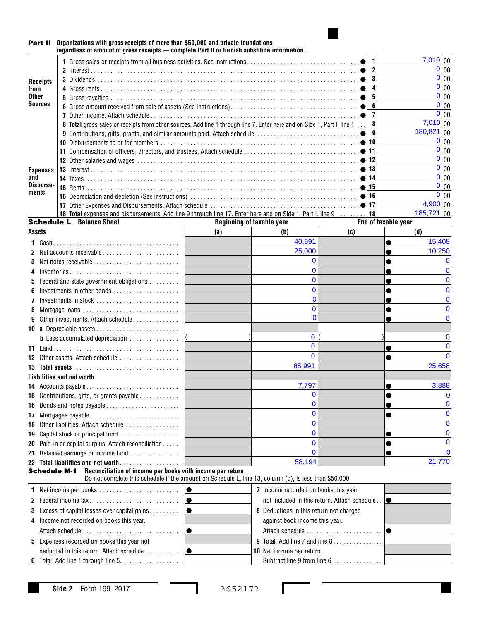

## Part II **Organizations with gross receipts of more than \$50,000 and private foundations regardless of amount of gross receipts — complete Part II or furnish substitute information.**

|                     |                                                                                                       |  |                                                                                                                                                                    |                              |                                                                     | $\mathbf{1}$                                          |                     | 7,010 00          |
|---------------------|-------------------------------------------------------------------------------------------------------|--|--------------------------------------------------------------------------------------------------------------------------------------------------------------------|------------------------------|---------------------------------------------------------------------|-------------------------------------------------------|---------------------|-------------------|
|                     |                                                                                                       |  |                                                                                                                                                                    |                              |                                                                     | $\overline{2}$                                        |                     | 0 00              |
| <b>Receipts</b>     |                                                                                                       |  |                                                                                                                                                                    | 3<br>$\overline{\mathbf{4}}$ |                                                                     | 0 00                                                  |                     |                   |
| from                |                                                                                                       |  |                                                                                                                                                                    |                              |                                                                     |                                                       |                     | $0 _{00}$         |
| <b>Other</b>        |                                                                                                       |  |                                                                                                                                                                    |                              |                                                                     |                                                       |                     | 0 00              |
| <b>Sources</b>      |                                                                                                       |  |                                                                                                                                                                    |                              |                                                                     | $6\phantom{a}$                                        |                     | $0 _{00}$         |
|                     |                                                                                                       |  |                                                                                                                                                                    |                              |                                                                     | $\overline{7}$                                        |                     | $0 _{00}$         |
|                     |                                                                                                       |  | 8 Total gross sales or receipts from other sources. Add line 1 through line 7. Enter here and on Side 1, Part I, line 1                                            |                              |                                                                     | 8<br>9'                                               |                     | 7,010 00          |
|                     |                                                                                                       |  |                                                                                                                                                                    |                              |                                                                     |                                                       |                     | $180,821$ 00      |
|                     |                                                                                                       |  |                                                                                                                                                                    |                              |                                                                     |                                                       |                     | $0 _{00}$         |
|                     |                                                                                                       |  |                                                                                                                                                                    |                              |                                                                     |                                                       |                     | $0 _{00}$         |
|                     |                                                                                                       |  |                                                                                                                                                                    |                              |                                                                     |                                                       |                     | $0 _{00}$         |
| <b>Expenses</b>     |                                                                                                       |  |                                                                                                                                                                    |                              |                                                                     |                                                       |                     | $0 _{00}$         |
| and<br>Disburse-    |                                                                                                       |  |                                                                                                                                                                    |                              |                                                                     |                                                       |                     | 0 00<br>$0 _{00}$ |
| ments               |                                                                                                       |  |                                                                                                                                                                    |                              |                                                                     |                                                       |                     | $0 _{00}$         |
|                     |                                                                                                       |  |                                                                                                                                                                    |                              |                                                                     |                                                       |                     | 4,900 00          |
|                     |                                                                                                       |  | 18 Total expenses and disbursements. Add line 9 through line 17. Enter here and on Side 1, Part I, line 9                                                          |                              |                                                                     | 18                                                    |                     | $185,721$ 00      |
|                     |                                                                                                       |  | <b>Schedule L</b> Balance Sheet                                                                                                                                    |                              | <b>Beginning of taxable year</b>                                    |                                                       | End of taxable year |                   |
| <b>Assets</b>       |                                                                                                       |  |                                                                                                                                                                    | (a)                          | (b)                                                                 | (c)                                                   |                     | (d)               |
|                     |                                                                                                       |  |                                                                                                                                                                    |                              | 40,991                                                              |                                                       |                     | 15,408            |
|                     |                                                                                                       |  |                                                                                                                                                                    |                              | 25,000                                                              |                                                       |                     | 10,250            |
|                     |                                                                                                       |  | 2 Net accounts receivable                                                                                                                                          |                              | 0                                                                   |                                                       |                     | 0                 |
|                     |                                                                                                       |  | 3 Net notes receivable                                                                                                                                             |                              | 0                                                                   |                                                       |                     | 0                 |
| 4                   |                                                                                                       |  | $Inventories \ldots \ldots \ldots \ldots \ldots \ldots \ldots \ldots \ldots$                                                                                       |                              | 0                                                                   |                                                       |                     | 0                 |
|                     |                                                                                                       |  | <b>5</b> Federal and state government obligations                                                                                                                  |                              | 0                                                                   |                                                       |                     | 0                 |
| 6                   |                                                                                                       |  |                                                                                                                                                                    |                              |                                                                     |                                                       |                     |                   |
| 7                   |                                                                                                       |  | Investments in stock                                                                                                                                               |                              | 0                                                                   |                                                       |                     | 0                 |
| 8                   |                                                                                                       |  |                                                                                                                                                                    |                              | 0<br>$\Omega$                                                       |                                                       |                     | 0                 |
| 9                   |                                                                                                       |  | Other investments. Attach schedule                                                                                                                                 |                              |                                                                     |                                                       | e                   | 0                 |
|                     |                                                                                                       |  |                                                                                                                                                                    |                              | 0                                                                   |                                                       |                     | 0                 |
|                     |                                                                                                       |  | <b>b</b> Less accumulated depreciation                                                                                                                             |                              | $\mathbf{0}$                                                        |                                                       |                     | $\Omega$          |
|                     |                                                                                                       |  |                                                                                                                                                                    |                              |                                                                     |                                                       |                     |                   |
|                     |                                                                                                       |  | 12 Other assets. Attach schedule                                                                                                                                   |                              | $\mathbf{0}$                                                        |                                                       | ●                   | $\Omega$          |
|                     |                                                                                                       |  |                                                                                                                                                                    |                              | 65,991                                                              |                                                       |                     | 25,658            |
|                     |                                                                                                       |  | <b>Liabilities and net worth</b>                                                                                                                                   |                              |                                                                     |                                                       |                     |                   |
|                     |                                                                                                       |  | 14 Accounts payable                                                                                                                                                |                              | 7,797                                                               |                                                       |                     | 3,888             |
|                     |                                                                                                       |  | 15 Contributions, gifts, or grants payable                                                                                                                         |                              | 0                                                                   |                                                       |                     | 0                 |
|                     |                                                                                                       |  | 16 Bonds and notes payable                                                                                                                                         |                              |                                                                     |                                                       |                     | 0                 |
|                     |                                                                                                       |  | 17 Mortgages payable                                                                                                                                               |                              | $\mathbf 0$                                                         |                                                       | ●                   | 0                 |
|                     |                                                                                                       |  | 18 Other liabilities. Attach schedule                                                                                                                              |                              | 0                                                                   |                                                       |                     | 0                 |
|                     |                                                                                                       |  | 19 Capital stock or principal fund                                                                                                                                 |                              | $\mathbf 0$                                                         |                                                       | ●                   | $\mathbf 0$       |
|                     |                                                                                                       |  | 20 Paid-in or capital surplus. Attach reconciliation                                                                                                               |                              | $\mathbf{0}$                                                        |                                                       |                     | $\mathbf 0$       |
|                     |                                                                                                       |  | 21 Retained earnings or income fund                                                                                                                                |                              | $\mathbf 0$                                                         |                                                       | e                   | 0                 |
|                     |                                                                                                       |  | 22 Total liabilities and net worth                                                                                                                                 |                              | 58,194                                                              |                                                       |                     | 21,770            |
| <b>Schedule M-1</b> |                                                                                                       |  | Reconciliation of income per books with income per return<br>Do not complete this schedule if the amount on Schedule L, line 13, column (d), is less than \$50,000 |                              |                                                                     |                                                       |                     |                   |
|                     |                                                                                                       |  | 1 Net income per books<br>$\bullet$                                                                                                                                |                              | 7 Income recorded on books this year                                |                                                       |                     |                   |
|                     |                                                                                                       |  | 2 Federal income tax<br>$\bullet$                                                                                                                                  |                              |                                                                     | not included in this return. Attach schedule $\ldots$ |                     |                   |
|                     | 3 Excess of capital losses over capital gains<br>$\bullet$<br>8 Deductions in this return not charged |  |                                                                                                                                                                    |                              |                                                                     |                                                       |                     |                   |
|                     | 4 Income not recorded on books this year.<br>against book income this year.                           |  |                                                                                                                                                                    |                              |                                                                     |                                                       |                     |                   |
|                     |                                                                                                       |  | $\bullet$                                                                                                                                                          |                              |                                                                     |                                                       |                     |                   |
|                     |                                                                                                       |  |                                                                                                                                                                    |                              |                                                                     |                                                       |                     |                   |
|                     |                                                                                                       |  | 5 Expenses recorded on books this year not                                                                                                                         |                              | <b>9</b> Total. Add line 7 and line $8 \ldots \ldots \ldots \ldots$ |                                                       |                     |                   |
|                     |                                                                                                       |  | deducted in this return. Attach schedule<br>$\bullet$                                                                                                              |                              | <b>10</b> Net income per return.                                    |                                                       |                     |                   |
|                     |                                                                                                       |  | 6 Total. Add line 1 through line 5.                                                                                                                                | Subtract line 9 from line 6  |                                                                     |                                                       |                     |                   |

I

Г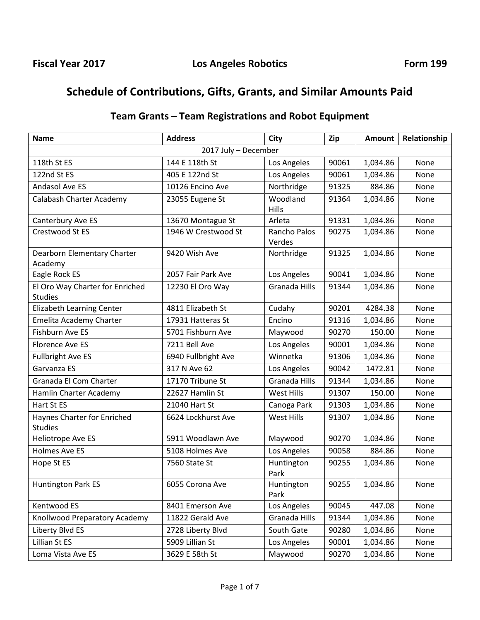# **Schedule of Contributions, Gifts, Grants, and Similar Amounts Paid**

| Team Grants – Team Registrations and Robot Equipment |  |
|------------------------------------------------------|--|
|------------------------------------------------------|--|

| <b>Address</b><br><b>Name</b>                     |                     | City                   | Zip   | <b>Amount</b> | Relationship |  |  |  |
|---------------------------------------------------|---------------------|------------------------|-------|---------------|--------------|--|--|--|
| 2017 July - December                              |                     |                        |       |               |              |  |  |  |
| 118th St ES                                       | 144 E 118th St      | Los Angeles            | 90061 | 1,034.86      | None         |  |  |  |
| 122nd St ES                                       | 405 E 122nd St      | Los Angeles            | 90061 | 1,034.86      | None         |  |  |  |
| Andasol Ave ES                                    | 10126 Encino Ave    | Northridge             | 91325 | 884.86        | None         |  |  |  |
| Calabash Charter Academy                          | 23055 Eugene St     | Woodland               | 91364 | 1,034.86      | None         |  |  |  |
|                                                   |                     | Hills                  |       |               |              |  |  |  |
| Canterbury Ave ES                                 | 13670 Montague St   | Arleta                 | 91331 | 1,034.86      | None         |  |  |  |
| Crestwood St ES                                   | 1946 W Crestwood St | Rancho Palos<br>Verdes | 90275 | 1,034.86      | None         |  |  |  |
| Dearborn Elementary Charter                       | 9420 Wish Ave       | Northridge             | 91325 | 1,034.86      | None         |  |  |  |
| Academy                                           |                     |                        |       |               |              |  |  |  |
| Eagle Rock ES                                     | 2057 Fair Park Ave  | Los Angeles            | 90041 | 1,034.86      | None         |  |  |  |
| El Oro Way Charter for Enriched<br><b>Studies</b> | 12230 El Oro Way    | Granada Hills          | 91344 | 1,034.86      | None         |  |  |  |
| <b>Elizabeth Learning Center</b>                  | 4811 Elizabeth St   | Cudahy                 | 90201 | 4284.38       | None         |  |  |  |
| Emelita Academy Charter                           | 17931 Hatteras St   | Encino                 | 91316 | 1,034.86      | None         |  |  |  |
| <b>Fishburn Ave ES</b>                            | 5701 Fishburn Ave   | Maywood                | 90270 | 150.00        | None         |  |  |  |
| <b>Florence Ave ES</b>                            | 7211 Bell Ave       | Los Angeles            | 90001 | 1,034.86      | None         |  |  |  |
| <b>Fullbright Ave ES</b>                          | 6940 Fullbright Ave | Winnetka               | 91306 | 1,034.86      | None         |  |  |  |
| Garvanza ES                                       | 317 N Ave 62        | Los Angeles            | 90042 | 1472.81       | None         |  |  |  |
| Granada El Com Charter                            | 17170 Tribune St    | Granada Hills          | 91344 | 1,034.86      | None         |  |  |  |
| Hamlin Charter Academy                            | 22627 Hamlin St     | West Hills             | 91307 | 150.00        | None         |  |  |  |
| Hart St ES                                        | 21040 Hart St       | Canoga Park            | 91303 | 1,034.86      | None         |  |  |  |
| Haynes Charter for Enriched<br><b>Studies</b>     | 6624 Lockhurst Ave  | West Hills             | 91307 | 1,034.86      | None         |  |  |  |
| Heliotrope Ave ES                                 | 5911 Woodlawn Ave   | Maywood                | 90270 | 1,034.86      | None         |  |  |  |
| <b>Holmes Ave ES</b>                              | 5108 Holmes Ave     | Los Angeles            | 90058 | 884.86        | None         |  |  |  |
| Hope St ES                                        | 7560 State St       | Huntington<br>Park     | 90255 | 1,034.86      | None         |  |  |  |
| <b>Huntington Park ES</b>                         | 6055 Corona Ave     | Huntington<br>Park     | 90255 | 1,034.86      | None         |  |  |  |
| Kentwood ES                                       | 8401 Emerson Ave    | Los Angeles            | 90045 | 447.08        | None         |  |  |  |
| Knollwood Preparatory Academy                     | 11822 Gerald Ave    | Granada Hills          | 91344 | 1,034.86      | None         |  |  |  |
| Liberty Blvd ES                                   | 2728 Liberty Blvd   | South Gate             | 90280 | 1,034.86      | None         |  |  |  |
| Lillian St ES                                     | 5909 Lillian St     | Los Angeles            | 90001 | 1,034.86      | None         |  |  |  |
| Loma Vista Ave ES                                 | 3629 E 58th St      | Maywood                | 90270 | 1,034.86      | None         |  |  |  |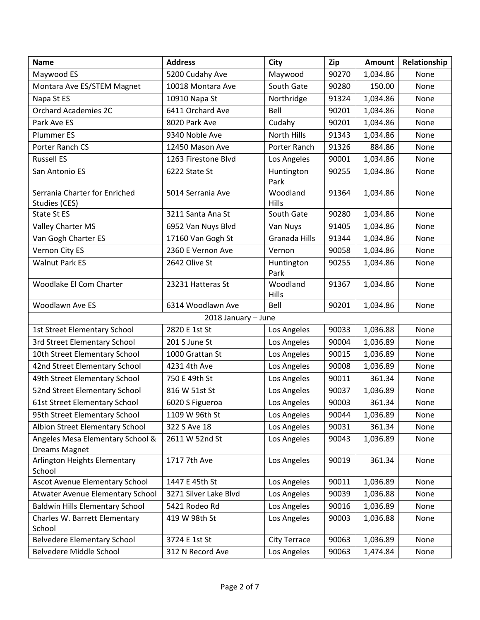| <b>Name</b>                                       | <b>Address</b>        | <b>City</b>          | Zip   | <b>Amount</b> | Relationship |
|---------------------------------------------------|-----------------------|----------------------|-------|---------------|--------------|
| Maywood ES                                        | 5200 Cudahy Ave       | Maywood              | 90270 | 1,034.86      | None         |
| Montara Ave ES/STEM Magnet                        | 10018 Montara Ave     | South Gate           | 90280 | 150.00        | None         |
| Napa St ES                                        | 10910 Napa St         | Northridge           | 91324 | 1,034.86      | None         |
| <b>Orchard Academies 2C</b>                       | 6411 Orchard Ave      | Bell                 | 90201 | 1,034.86      | None         |
| Park Ave ES                                       | 8020 Park Ave         | Cudahy               | 90201 | 1,034.86      | None         |
| <b>Plummer ES</b>                                 | 9340 Noble Ave        | North Hills          | 91343 | 1,034.86      | None         |
| Porter Ranch CS                                   | 12450 Mason Ave       | Porter Ranch         | 91326 | 884.86        | None         |
| <b>Russell ES</b>                                 | 1263 Firestone Blvd   | Los Angeles          | 90001 | 1,034.86      | None         |
| San Antonio ES                                    | 6222 State St         | Huntington<br>Park   | 90255 | 1,034.86      | None         |
| Serrania Charter for Enriched<br>Studies (CES)    | 5014 Serrania Ave     | Woodland<br>Hills    | 91364 | 1,034.86      | None         |
| State St ES                                       | 3211 Santa Ana St     | South Gate           | 90280 | 1,034.86      | None         |
| Valley Charter MS                                 | 6952 Van Nuys Blvd    | Van Nuys             | 91405 | 1,034.86      | None         |
| Van Gogh Charter ES                               | 17160 Van Gogh St     | <b>Granada Hills</b> | 91344 | 1,034.86      | None         |
| Vernon City ES                                    | 2360 E Vernon Ave     | Vernon               | 90058 | 1,034.86      | None         |
| <b>Walnut Park ES</b>                             | 2642 Olive St         | Huntington<br>Park   | 90255 | 1,034.86      | None         |
| Woodlake El Com Charter                           | 23231 Hatteras St     | Woodland<br>Hills    | 91367 | 1,034.86      | None         |
| Woodlawn Ave ES                                   | 6314 Woodlawn Ave     | Bell                 | 90201 | 1,034.86      | None         |
|                                                   | 2018 January - June   |                      |       |               |              |
| 1st Street Elementary School                      | 2820 E 1st St         | Los Angeles          | 90033 | 1,036.88      | None         |
| 3rd Street Elementary School                      | 201 S June St         | Los Angeles          | 90004 | 1,036.89      | None         |
| 10th Street Elementary School                     | 1000 Grattan St       | Los Angeles          | 90015 | 1,036.89      | None         |
| 42nd Street Elementary School                     | 4231 4th Ave          | Los Angeles          | 90008 | 1,036.89      | None         |
| 49th Street Elementary School                     | 750 E 49th St         | Los Angeles          | 90011 | 361.34        | None         |
| 52nd Street Elementary School                     | 816 W 51st St         | Los Angeles          | 90037 | 1,036.89      | None         |
| 61st Street Elementary School                     | 6020 S Figueroa       | Los Angeles          | 90003 | 361.34        | None         |
| 95th Street Elementary School                     | 1109 W 96th St        | Los Angeles          | 90044 | 1,036.89      | None         |
| Albion Street Elementary School                   | 322 S Ave 18          | Los Angeles          | 90031 | 361.34        | None         |
| Angeles Mesa Elementary School &<br>Dreams Magnet | 2611 W 52nd St        | Los Angeles          | 90043 | 1,036.89      | None         |
| Arlington Heights Elementary<br>School            | 1717 7th Ave          | Los Angeles          | 90019 | 361.34        | None         |
| Ascot Avenue Elementary School                    | 1447 E 45th St        | Los Angeles          | 90011 | 1,036.89      | None         |
| Atwater Avenue Elementary School                  | 3271 Silver Lake Blvd | Los Angeles          | 90039 | 1,036.88      | None         |
| <b>Baldwin Hills Elementary School</b>            | 5421 Rodeo Rd         | Los Angeles          | 90016 | 1,036.89      | None         |
| Charles W. Barrett Elementary<br>School           | 419 W 98th St         | Los Angeles          | 90003 | 1,036.88      | None         |
| <b>Belvedere Elementary School</b>                | 3724 E 1st St         | City Terrace         | 90063 | 1,036.89      | None         |
| Belvedere Middle School                           | 312 N Record Ave      | Los Angeles          | 90063 | 1,474.84      | None         |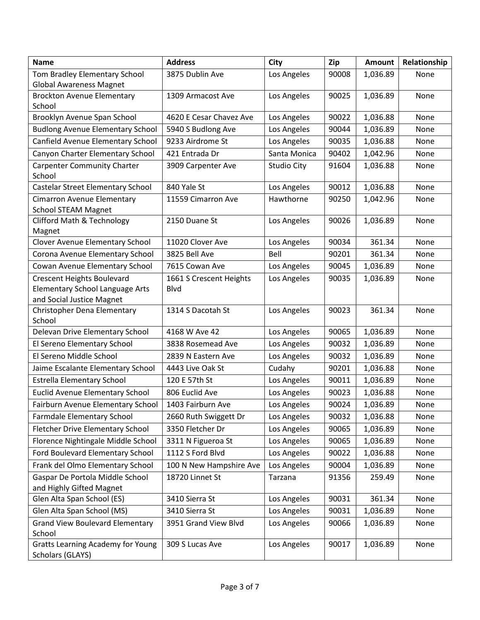| <b>Name</b>                                                            | <b>Address</b>                         | <b>City</b>        | Zip   | <b>Amount</b> | Relationship |
|------------------------------------------------------------------------|----------------------------------------|--------------------|-------|---------------|--------------|
| Tom Bradley Elementary School                                          | 3875 Dublin Ave                        | Los Angeles        | 90008 | 1,036.89      | None         |
| <b>Global Awareness Magnet</b>                                         |                                        |                    |       |               |              |
| <b>Brockton Avenue Elementary</b>                                      | 1309 Armacost Ave                      | Los Angeles        | 90025 | 1,036.89      | None         |
| School<br>Brooklyn Avenue Span School                                  | 4620 E Cesar Chavez Ave                | Los Angeles        | 90022 | 1,036.88      | None         |
| <b>Budlong Avenue Elementary School</b>                                |                                        |                    | 90044 | 1,036.89      | None         |
| Canfield Avenue Elementary School                                      | 5940 S Budlong Ave<br>9233 Airdrome St | Los Angeles        |       |               |              |
|                                                                        | 421 Entrada Dr                         | Los Angeles        | 90035 | 1,036.88      | None<br>None |
| Canyon Charter Elementary School<br><b>Carpenter Community Charter</b> |                                        | Santa Monica       | 90402 | 1,042.96      |              |
| School                                                                 | 3909 Carpenter Ave                     | <b>Studio City</b> | 91604 | 1,036.88      | None         |
| Castelar Street Elementary School                                      | 840 Yale St                            | Los Angeles        | 90012 | 1,036.88      | None         |
| Cimarron Avenue Elementary<br><b>School STEAM Magnet</b>               | 11559 Cimarron Ave                     | Hawthorne          | 90250 | 1,042.96      | None         |
| <b>Clifford Math &amp; Technology</b>                                  | 2150 Duane St                          | Los Angeles        | 90026 | 1,036.89      | None         |
| Magnet                                                                 |                                        |                    |       |               |              |
| <b>Clover Avenue Elementary School</b>                                 | 11020 Clover Ave                       | Los Angeles        | 90034 | 361.34        | None         |
| Corona Avenue Elementary School                                        | 3825 Bell Ave                          | Bell               | 90201 | 361.34        | None         |
| Cowan Avenue Elementary School                                         | 7615 Cowan Ave                         | Los Angeles        | 90045 | 1,036.89      | None         |
| <b>Crescent Heights Boulevard</b>                                      | 1661 S Crescent Heights                | Los Angeles        | 90035 | 1,036.89      | None         |
| <b>Elementary School Language Arts</b>                                 | <b>Blvd</b>                            |                    |       |               |              |
| and Social Justice Magnet<br>Christopher Dena Elementary               | 1314 S Dacotah St                      | Los Angeles        | 90023 | 361.34        | None         |
| School                                                                 |                                        |                    |       |               |              |
| Delevan Drive Elementary School                                        | 4168 W Ave 42                          | Los Angeles        | 90065 | 1,036.89      | None         |
| El Sereno Elementary School                                            | 3838 Rosemead Ave                      | Los Angeles        | 90032 | 1,036.89      | None         |
| El Sereno Middle School                                                | 2839 N Eastern Ave                     | Los Angeles        | 90032 | 1,036.89      | None         |
| Jaime Escalante Elementary School                                      | 4443 Live Oak St                       | Cudahy             | 90201 | 1,036.88      | None         |
| <b>Estrella Elementary School</b>                                      | 120 E 57th St                          | Los Angeles        | 90011 | 1,036.89      | None         |
| <b>Euclid Avenue Elementary School</b>                                 | 806 Euclid Ave                         | Los Angeles        | 90023 | 1,036.88      | None         |
| Fairburn Avenue Elementary School                                      | 1403 Fairburn Ave                      | Los Angeles        | 90024 | 1,036.89      | None         |
| Farmdale Elementary School                                             | 2660 Ruth Swiggett Dr                  | Los Angeles        | 90032 | 1,036.88      | None         |
| <b>Fletcher Drive Elementary School</b>                                | 3350 Fletcher Dr                       | Los Angeles        | 90065 | 1,036.89      | None         |
| Florence Nightingale Middle School                                     | 3311 N Figueroa St                     | Los Angeles        | 90065 | 1,036.89      | None         |
| Ford Boulevard Elementary School                                       | 1112 S Ford Blvd                       | Los Angeles        | 90022 | 1,036.88      | None         |
| Frank del Olmo Elementary School                                       | 100 N New Hampshire Ave                | Los Angeles        | 90004 | 1,036.89      | None         |
| Gaspar De Portola Middle School<br>and Highly Gifted Magnet            | 18720 Linnet St                        | Tarzana            | 91356 | 259.49        | None         |
| Glen Alta Span School (ES)                                             | 3410 Sierra St                         | Los Angeles        | 90031 | 361.34        | None         |
| Glen Alta Span School (MS)                                             | 3410 Sierra St                         | Los Angeles        | 90031 | 1,036.89      | None         |
| <b>Grand View Boulevard Elementary</b>                                 | 3951 Grand View Blvd                   | Los Angeles        | 90066 | 1,036.89      | None         |
| School                                                                 |                                        |                    |       |               |              |
| <b>Gratts Learning Academy for Young</b><br>Scholars (GLAYS)           | 309 S Lucas Ave                        | Los Angeles        | 90017 | 1,036.89      | None         |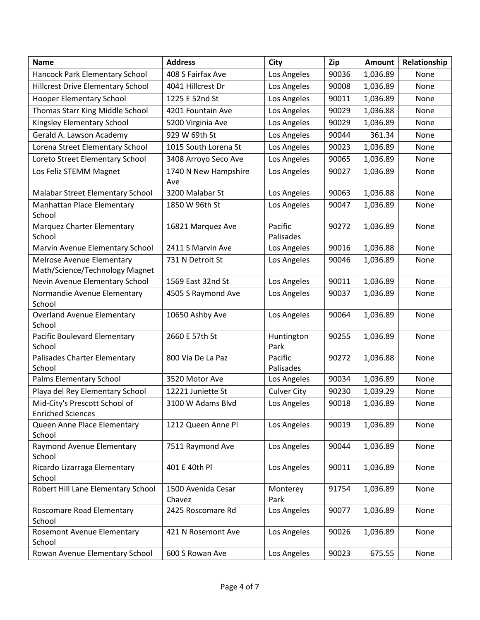| <b>Name</b>                                                 | <b>Address</b>               | <b>City</b>          | Zip   | <b>Amount</b> | Relationship |
|-------------------------------------------------------------|------------------------------|----------------------|-------|---------------|--------------|
| Hancock Park Elementary School                              | 408 S Fairfax Ave            | Los Angeles          | 90036 | 1,036.89      | None         |
| <b>Hillcrest Drive Elementary School</b>                    | 4041 Hillcrest Dr            | Los Angeles          | 90008 | 1,036.89      | None         |
| <b>Hooper Elementary School</b>                             | 1225 E 52nd St               | Los Angeles          | 90011 | 1,036.89      | None         |
| Thomas Starr King Middle School                             | 4201 Fountain Ave            | Los Angeles          | 90029 | 1,036.88      | None         |
| Kingsley Elementary School                                  | 5200 Virginia Ave            | Los Angeles          | 90029 | 1,036.89      | None         |
| Gerald A. Lawson Academy                                    | 929 W 69th St                | Los Angeles          | 90044 | 361.34        | None         |
| Lorena Street Elementary School                             | 1015 South Lorena St         | Los Angeles          | 90023 | 1,036.89      | None         |
| Loreto Street Elementary School                             | 3408 Arroyo Seco Ave         | Los Angeles          | 90065 | 1,036.89      | None         |
| Los Feliz STEMM Magnet                                      | 1740 N New Hampshire<br>Ave  | Los Angeles          | 90027 | 1,036.89      | None         |
| Malabar Street Elementary School                            | 3200 Malabar St              | Los Angeles          | 90063 | 1,036.88      | None         |
| Manhattan Place Elementary<br>School                        | 1850 W 96th St               | Los Angeles          | 90047 | 1,036.89      | None         |
| Marquez Charter Elementary<br>School                        | 16821 Marquez Ave            | Pacific<br>Palisades | 90272 | 1,036.89      | None         |
| Marvin Avenue Elementary School                             | 2411 S Marvin Ave            | Los Angeles          | 90016 | 1,036.88      | None         |
| Melrose Avenue Elementary<br>Math/Science/Technology Magnet | 731 N Detroit St             | Los Angeles          | 90046 | 1,036.89      | None         |
| Nevin Avenue Elementary School                              | 1569 East 32nd St            | Los Angeles          | 90011 | 1,036.89      | None         |
| Normandie Avenue Elementary<br>School                       | 4505 S Raymond Ave           | Los Angeles          | 90037 | 1,036.89      | None         |
| <b>Overland Avenue Elementary</b><br>School                 | 10650 Ashby Ave              | Los Angeles          | 90064 | 1,036.89      | None         |
| Pacific Boulevard Elementary<br>School                      | 2660 E 57th St               | Huntington<br>Park   | 90255 | 1,036.89      | None         |
| Palisades Charter Elementary<br>School                      | 800 Vía De La Paz            | Pacific<br>Palisades | 90272 | 1,036.88      | None         |
| Palms Elementary School                                     | 3520 Motor Ave               | Los Angeles          | 90034 | 1,036.89      | None         |
| Playa del Rey Elementary School                             | 12221 Juniette St            | <b>Culver City</b>   | 90230 | 1,039.29      | None         |
| Mid-City's Prescott School of<br><b>Enriched Sciences</b>   | 3100 W Adams Blvd            | Los Angeles          | 90018 | 1,036.89      | None         |
| Queen Anne Place Elementary<br>School                       | 1212 Queen Anne Pl           | Los Angeles          | 90019 | 1,036.89      | None         |
| Raymond Avenue Elementary<br>School                         | 7511 Raymond Ave             | Los Angeles          | 90044 | 1,036.89      | None         |
| Ricardo Lizarraga Elementary<br>School                      | 401 E 40th Pl                | Los Angeles          | 90011 | 1,036.89      | None         |
| Robert Hill Lane Elementary School                          | 1500 Avenida Cesar<br>Chavez | Monterey<br>Park     | 91754 | 1,036.89      | None         |
| Roscomare Road Elementary<br>School                         | 2425 Roscomare Rd            | Los Angeles          | 90077 | 1,036.89      | None         |
| Rosemont Avenue Elementary<br>School                        | 421 N Rosemont Ave           | Los Angeles          | 90026 | 1,036.89      | None         |
| Rowan Avenue Elementary School                              | 600 S Rowan Ave              | Los Angeles          | 90023 | 675.55        | None         |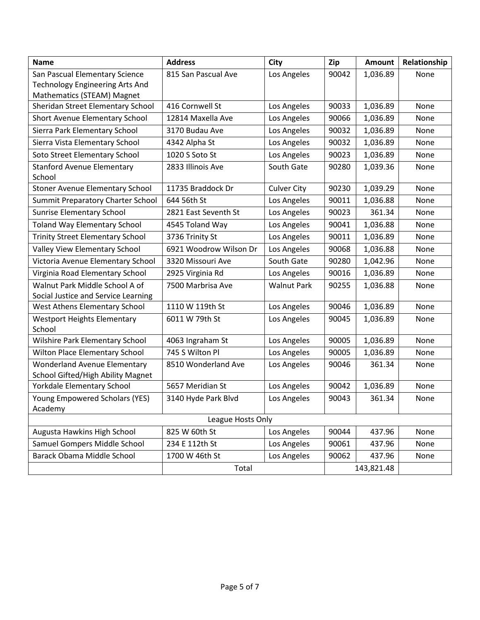| <b>Name</b>                                                              | <b>Address</b>         | <b>City</b>        | Zip   | <b>Amount</b> | Relationship |
|--------------------------------------------------------------------------|------------------------|--------------------|-------|---------------|--------------|
| San Pascual Elementary Science                                           | 815 San Pascual Ave    | Los Angeles        | 90042 | 1,036.89      | None         |
| <b>Technology Engineering Arts And</b>                                   |                        |                    |       |               |              |
| Mathematics (STEAM) Magnet<br>Sheridan Street Elementary School          | 416 Cornwell St        | Los Angeles        | 90033 | 1,036.89      | None         |
| Short Avenue Elementary School                                           | 12814 Maxella Ave      | Los Angeles        | 90066 | 1,036.89      | None         |
| Sierra Park Elementary School                                            | 3170 Budau Ave         | Los Angeles        | 90032 | 1,036.89      | None         |
| Sierra Vista Elementary School                                           | 4342 Alpha St          | Los Angeles        | 90032 | 1,036.89      | None         |
| Soto Street Elementary School                                            | 1020 S Soto St         | Los Angeles        | 90023 | 1,036.89      | None         |
| <b>Stanford Avenue Elementary</b>                                        | 2833 Illinois Ave      | South Gate         | 90280 | 1,039.36      | None         |
| School                                                                   |                        |                    |       |               |              |
| <b>Stoner Avenue Elementary School</b>                                   | 11735 Braddock Dr      | <b>Culver City</b> | 90230 | 1,039.29      | None         |
| Summit Preparatory Charter School                                        | 644 56th St            | Los Angeles        | 90011 | 1,036.88      | None         |
| <b>Sunrise Elementary School</b>                                         | 2821 East Seventh St   | Los Angeles        | 90023 | 361.34        | None         |
| <b>Toland Way Elementary School</b>                                      | 4545 Toland Way        | Los Angeles        | 90041 | 1,036.88      | None         |
| <b>Trinity Street Elementary School</b>                                  | 3736 Trinity St        | Los Angeles        | 90011 | 1,036.89      | None         |
| Valley View Elementary School                                            | 6921 Woodrow Wilson Dr | Los Angeles        | 90068 | 1,036.88      | None         |
| Victoria Avenue Elementary School                                        | 3320 Missouri Ave      | South Gate         | 90280 | 1,042.96      | None         |
| Virginia Road Elementary School                                          | 2925 Virginia Rd       | Los Angeles        | 90016 | 1,036.89      | None         |
| Walnut Park Middle School A of<br>Social Justice and Service Learning    | 7500 Marbrisa Ave      | <b>Walnut Park</b> | 90255 | 1,036.88      | None         |
| West Athens Elementary School                                            | 1110 W 119th St        | Los Angeles        | 90046 | 1,036.89      | None         |
| <b>Westport Heights Elementary</b><br>School                             | 6011 W 79th St         | Los Angeles        | 90045 | 1,036.89      | None         |
| Wilshire Park Elementary School                                          | 4063 Ingraham St       | Los Angeles        | 90005 | 1,036.89      | None         |
| Wilton Place Elementary School                                           | 745 S Wilton Pl        | Los Angeles        | 90005 | 1,036.89      | None         |
| <b>Wonderland Avenue Elementary</b><br>School Gifted/High Ability Magnet | 8510 Wonderland Ave    | Los Angeles        | 90046 | 361.34        | None         |
| Yorkdale Elementary School                                               | 5657 Meridian St       | Los Angeles        | 90042 | 1,036.89      | None         |
| Young Empowered Scholars (YES)                                           | 3140 Hyde Park Blvd    | Los Angeles        | 90043 | 361.34        | None         |
| Academy                                                                  |                        |                    |       |               |              |
| League Hosts Only                                                        |                        |                    |       |               |              |
| Augusta Hawkins High School                                              | 825 W 60th St          | Los Angeles        | 90044 | 437.96        | None         |
| Samuel Gompers Middle School                                             | 234 E 112th St         | Los Angeles        | 90061 | 437.96        | None         |
| Barack Obama Middle School                                               | 1700 W 46th St         | Los Angeles        | 90062 | 437.96        | None         |
|                                                                          | Total                  |                    |       | 143,821.48    |              |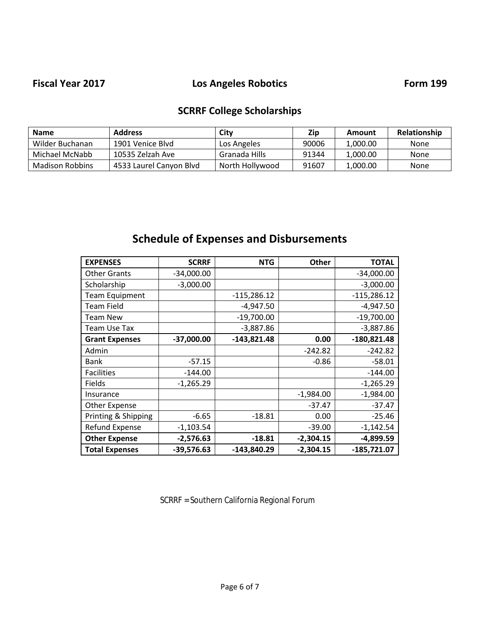## Fiscal Year 2017 **Los Angeles Robotics Form 199**

# **SCRRF College Scholarships**

| <b>Name</b>     | <b>Address</b>          | City            | Zip   | Amount   | Relationship |
|-----------------|-------------------------|-----------------|-------|----------|--------------|
| Wilder Buchanan | 1901 Venice Blyd        | Los Angeles     | 90006 | 1.000.00 | None         |
| Michael McNabb  | 10535 Zelzah Ave        | Granada Hills   | 91344 | 1.000.00 | None         |
| Madison Robbins | 4533 Laurel Canyon Blvd | North Hollywood | 91607 | 1.000.00 | None         |

# **Schedule of Expenses and Disbursements**

| <b>EXPENSES</b>       | <b>SCRRF</b> | <b>NTG</b>    | <b>Other</b> | <b>TOTAL</b>  |
|-----------------------|--------------|---------------|--------------|---------------|
| <b>Other Grants</b>   | $-34,000.00$ |               |              | $-34,000.00$  |
| Scholarship           | $-3,000.00$  |               |              | $-3,000.00$   |
| <b>Team Equipment</b> |              | $-115,286.12$ |              | $-115,286.12$ |
| <b>Team Field</b>     |              | $-4,947.50$   |              | $-4,947.50$   |
| <b>Team New</b>       |              | $-19,700.00$  |              | $-19,700.00$  |
| <b>Team Use Tax</b>   |              | $-3,887.86$   |              | $-3,887.86$   |
| <b>Grant Expenses</b> | $-37,000.00$ | $-143,821.48$ | 0.00         | $-180,821.48$ |
| Admin                 |              |               | $-242.82$    | $-242.82$     |
| Bank                  | $-57.15$     |               | $-0.86$      | $-58.01$      |
| <b>Facilities</b>     | $-144.00$    |               |              | $-144.00$     |
| Fields                | $-1,265.29$  |               |              | $-1,265.29$   |
| Insurance             |              |               | $-1,984.00$  | $-1,984.00$   |
| Other Expense         |              |               | $-37.47$     | $-37.47$      |
| Printing & Shipping   | $-6.65$      | $-18.81$      | 0.00         | $-25.46$      |
| Refund Expense        | $-1,103.54$  |               | $-39.00$     | $-1,142.54$   |
| <b>Other Expense</b>  | $-2,576.63$  | $-18.81$      | $-2,304.15$  | $-4,899.59$   |
| <b>Total Expenses</b> | $-39,576.63$ | $-143,840.29$ | $-2,304.15$  | $-185,721.07$ |

SCRRF = Southern California Regional Forum